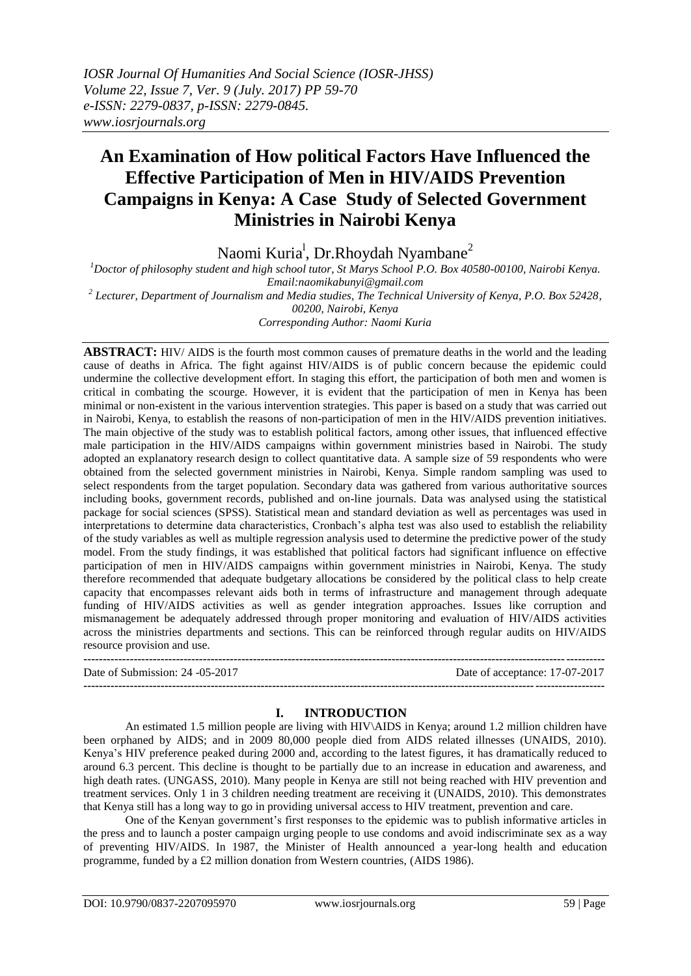# **An Examination of How political Factors Have Influenced the Effective Participation of Men in HIV/AIDS Prevention Campaigns in Kenya: A Case Study of Selected Government Ministries in Nairobi Kenya**

Naomi Kuria<sup>l</sup>, Dr.Rhoydah Nyambane<sup>2</sup>

*<sup>1</sup>Doctor of philosophy student and high school tutor, St Marys School P.O. Box 40580-00100, Nairobi Kenya. Email:naomikabunyi@gmail.com 2 Lecturer, Department of Journalism and Media studies, The Technical University of Kenya, P.O. Box 52428, 00200, Nairobi, Kenya Corresponding Author: Naomi Kuria*

**ABSTRACT:** HIV/ AIDS is the fourth most common causes of premature deaths in the world and the leading cause of deaths in Africa. The fight against HIV/AIDS is of public concern because the epidemic could undermine the collective development effort. In staging this effort, the participation of both men and women is critical in combating the scourge. However, it is evident that the participation of men in Kenya has been minimal or non-existent in the various intervention strategies. This paper is based on a study that was carried out in Nairobi, Kenya, to establish the reasons of non-participation of men in the HIV/AIDS prevention initiatives. The main objective of the study was to establish political factors, among other issues, that influenced effective male participation in the HIV/AIDS campaigns within government ministries based in Nairobi. The study adopted an explanatory research design to collect quantitative data. A sample size of 59 respondents who were obtained from the selected government ministries in Nairobi, Kenya. Simple random sampling was used to select respondents from the target population. Secondary data was gathered from various authoritative sources including books, government records, published and on-line journals. Data was analysed using the statistical package for social sciences (SPSS). Statistical mean and standard deviation as well as percentages was used in interpretations to determine data characteristics, Cronbach's alpha test was also used to establish the reliability of the study variables as well as multiple regression analysis used to determine the predictive power of the study model. From the study findings, it was established that political factors had significant influence on effective participation of men in HIV/AIDS campaigns within government ministries in Nairobi, Kenya. The study therefore recommended that adequate budgetary allocations be considered by the political class to help create capacity that encompasses relevant aids both in terms of infrastructure and management through adequate funding of HIV/AIDS activities as well as gender integration approaches. Issues like corruption and mismanagement be adequately addressed through proper monitoring and evaluation of HIV/AIDS activities across the ministries departments and sections. This can be reinforced through regular audits on HIV/AIDS resource provision and use.

**---------------------------------------------------------------------------------------------------------------------------------------** Date of Submission: 24 -05-2017 Date of acceptance: 17-07-2017 **---------------------------------------------------------------------------------------------------------------------------------------**

# **I. INTRODUCTION**

An estimated 1.5 million people are living with HIV\AIDS in Kenya; around 1.2 million children have been orphaned by AIDS; and in 2009 80,000 people died from AIDS related illnesses (UNAIDS, 2010). Kenya's HIV preference peaked during 2000 and, according to the latest figures, it has dramatically reduced to around 6.3 percent. This decline is thought to be partially due to an increase in education and awareness, and high death rates. (UNGASS, 2010). Many people in Kenya are still not being reached with HIV prevention and treatment services. Only 1 in 3 children needing treatment are receiving it (UNAIDS, 2010). This demonstrates that Kenya still has a long way to go in providing universal access to HIV treatment, prevention and care.

One of the Kenyan government's first responses to the epidemic was to publish informative articles in the press and to launch a poster campaign urging people to use condoms and avoid indiscriminate sex as a way of preventing HIV/AIDS. In 1987, the Minister of Health announced a year-long health and education programme, funded by a £2 million donation from Western countries, (AIDS 1986).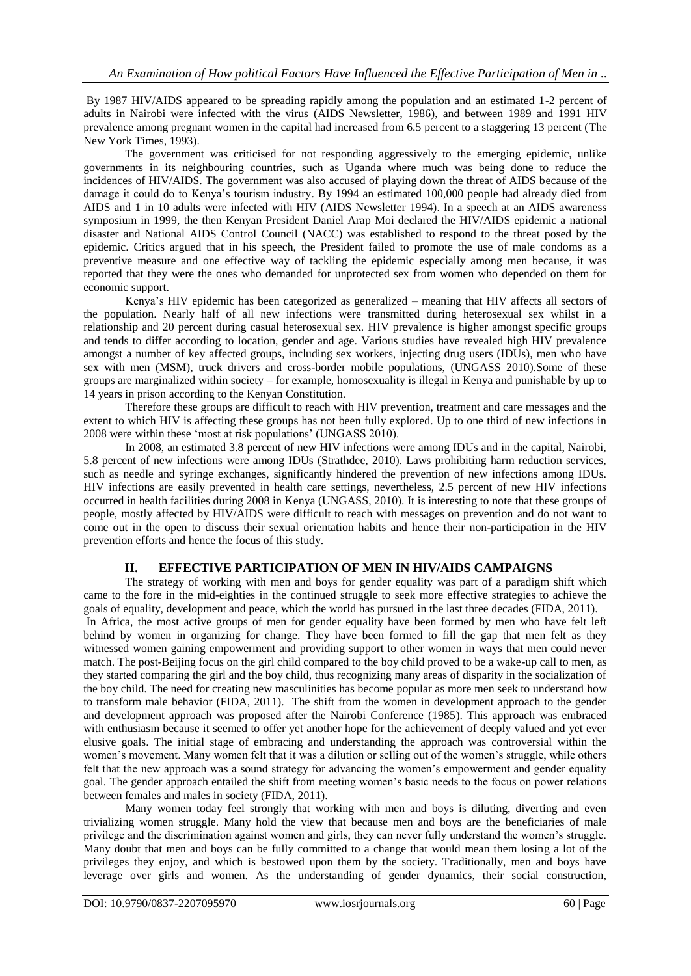By 1987 HIV/AIDS appeared to be spreading rapidly among the population and an estimated 1-2 percent of adults in Nairobi were infected with the virus (AIDS Newsletter, 1986), and between 1989 and 1991 HIV prevalence among pregnant women in the capital had increased from 6.5 percent to a staggering 13 percent (The New York Times, 1993).

The government was criticised for not responding aggressively to the emerging epidemic, unlike governments in its neighbouring countries, such as Uganda where much was being done to reduce the incidences of HIV/AIDS. The government was also accused of playing down the threat of AIDS because of the damage it could do to Kenya's tourism industry. By 1994 an estimated 100,000 people had already died from AIDS and 1 in 10 adults were infected with HIV (AIDS Newsletter 1994). In a speech at an AIDS awareness symposium in 1999, the then Kenyan President Daniel Arap Moi declared the HIV/AIDS epidemic a national disaster and National AIDS Control Council (NACC) was established to respond to the threat posed by the epidemic. Critics argued that in his speech, the President failed to promote the use of male condoms as a preventive measure and one effective way of tackling the epidemic especially among men because, it was reported that they were the ones who demanded for unprotected sex from women who depended on them for economic support.

Kenya's HIV epidemic has been categorized as generalized – meaning that HIV affects all sectors of the population. Nearly half of all new infections were transmitted during heterosexual sex whilst in a relationship and 20 percent during casual heterosexual sex. HIV prevalence is higher amongst specific groups and tends to differ according to location, gender and age. Various studies have revealed high HIV prevalence amongst a number of key affected groups, including sex workers, injecting drug users (IDUs), men who have sex with men (MSM), truck drivers and cross-border mobile populations, (UNGASS 2010).Some of these groups are marginalized within society – for example, homosexuality is illegal in Kenya and punishable by up to 14 years in prison according to the Kenyan Constitution.

Therefore these groups are difficult to reach with HIV prevention, treatment and care messages and the extent to which HIV is affecting these groups has not been fully explored. Up to one third of new infections in 2008 were within these 'most at risk populations' (UNGASS 2010).

In 2008, an estimated 3.8 percent of new HIV infections were among IDUs and in the capital, Nairobi, 5.8 percent of new infections were among IDUs (Strathdee, 2010). Laws prohibiting harm reduction services, such as needle and syringe exchanges, significantly hindered the prevention of new infections among IDUs. HIV infections are easily prevented in health care settings, nevertheless, 2.5 percent of new HIV infections occurred in health facilities during 2008 in Kenya (UNGASS, 2010). It is interesting to note that these groups of people, mostly affected by HIV/AIDS were difficult to reach with messages on prevention and do not want to come out in the open to discuss their sexual orientation habits and hence their non-participation in the HIV prevention efforts and hence the focus of this study.

# **II. EFFECTIVE PARTICIPATION OF MEN IN HIV/AIDS CAMPAIGNS**

The strategy of working with men and boys for gender equality was part of a paradigm shift which came to the fore in the mid-eighties in the continued struggle to seek more effective strategies to achieve the goals of equality, development and peace, which the world has pursued in the last three decades (FIDA, 2011). In Africa, the most active groups of men for gender equality have been formed by men who have felt left behind by women in organizing for change. They have been formed to fill the gap that men felt as they witnessed women gaining empowerment and providing support to other women in ways that men could never match. The post-Beijing focus on the girl child compared to the boy child proved to be a wake-up call to men, as they started comparing the girl and the boy child, thus recognizing many areas of disparity in the socialization of the boy child. The need for creating new masculinities has become popular as more men seek to understand how to transform male behavior (FIDA, 2011). The shift from the women in development approach to the gender and development approach was proposed after the Nairobi Conference (1985). This approach was embraced with enthusiasm because it seemed to offer yet another hope for the achievement of deeply valued and yet ever elusive goals. The initial stage of embracing and understanding the approach was controversial within the women's movement. Many women felt that it was a dilution or selling out of the women's struggle, while others felt that the new approach was a sound strategy for advancing the women's empowerment and gender equality goal. The gender approach entailed the shift from meeting women's basic needs to the focus on power relations between females and males in society (FIDA, 2011).

Many women today feel strongly that working with men and boys is diluting, diverting and even trivializing women struggle. Many hold the view that because men and boys are the beneficiaries of male privilege and the discrimination against women and girls, they can never fully understand the women's struggle. Many doubt that men and boys can be fully committed to a change that would mean them losing a lot of the privileges they enjoy, and which is bestowed upon them by the society. Traditionally, men and boys have leverage over girls and women. As the understanding of gender dynamics, their social construction,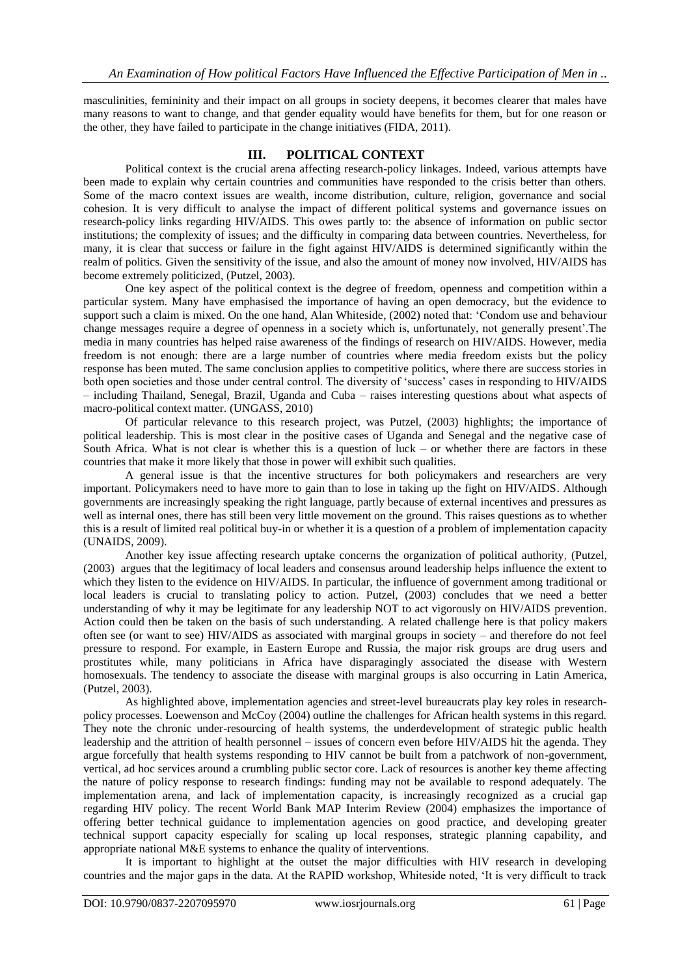masculinities, femininity and their impact on all groups in society deepens, it becomes clearer that males have many reasons to want to change, and that gender equality would have benefits for them, but for one reason or the other, they have failed to participate in the change initiatives (FIDA, 2011).

## **III. POLITICAL CONTEXT**

Political context is the crucial arena affecting research-policy linkages. Indeed, various attempts have been made to explain why certain countries and communities have responded to the crisis better than others. Some of the macro context issues are wealth, income distribution, culture, religion, governance and social cohesion. It is very difficult to analyse the impact of different political systems and governance issues on research-policy links regarding HIV/AIDS. This owes partly to: the absence of information on public sector institutions; the complexity of issues; and the difficulty in comparing data between countries. Nevertheless, for many, it is clear that success or failure in the fight against HIV/AIDS is determined significantly within the realm of politics. Given the sensitivity of the issue, and also the amount of money now involved, HIV/AIDS has become extremely politicized, (Putzel, 2003).

One key aspect of the political context is the degree of freedom, openness and competition within a particular system. Many have emphasised the importance of having an open democracy, but the evidence to support such a claim is mixed. On the one hand, Alan Whiteside, (2002) noted that: 'Condom use and behaviour change messages require a degree of openness in a society which is, unfortunately, not generally present'.The media in many countries has helped raise awareness of the findings of research on HIV/AIDS. However, media freedom is not enough: there are a large number of countries where media freedom exists but the policy response has been muted. The same conclusion applies to competitive politics, where there are success stories in both open societies and those under central control. The diversity of 'success' cases in responding to HIV/AIDS – including Thailand, Senegal, Brazil, Uganda and Cuba – raises interesting questions about what aspects of macro-political context matter. (UNGASS, 2010)

Of particular relevance to this research project, was Putzel, (2003) highlights; the importance of political leadership. This is most clear in the positive cases of Uganda and Senegal and the negative case of South Africa. What is not clear is whether this is a question of luck – or whether there are factors in these countries that make it more likely that those in power will exhibit such qualities.

A general issue is that the incentive structures for both policymakers and researchers are very important. Policymakers need to have more to gain than to lose in taking up the fight on HIV/AIDS. Although governments are increasingly speaking the right language, partly because of external incentives and pressures as well as internal ones, there has still been very little movement on the ground. This raises questions as to whether this is a result of limited real political buy-in or whether it is a question of a problem of implementation capacity (UNAIDS, 2009).

Another key issue affecting research uptake concerns the organization of political authority, (Putzel, (2003) argues that the legitimacy of local leaders and consensus around leadership helps influence the extent to which they listen to the evidence on HIV/AIDS. In particular, the influence of government among traditional or local leaders is crucial to translating policy to action. Putzel, (2003) concludes that we need a better understanding of why it may be legitimate for any leadership NOT to act vigorously on HIV/AIDS prevention. Action could then be taken on the basis of such understanding. A related challenge here is that policy makers often see (or want to see) HIV/AIDS as associated with marginal groups in society – and therefore do not feel pressure to respond. For example, in Eastern Europe and Russia, the major risk groups are drug users and prostitutes while, many politicians in Africa have disparagingly associated the disease with Western homosexuals. The tendency to associate the disease with marginal groups is also occurring in Latin America, (Putzel, 2003).

As highlighted above, implementation agencies and street-level bureaucrats play key roles in researchpolicy processes. Loewenson and McCoy (2004) outline the challenges for African health systems in this regard. They note the chronic under-resourcing of health systems, the underdevelopment of strategic public health leadership and the attrition of health personnel – issues of concern even before HIV/AIDS hit the agenda. They argue forcefully that health systems responding to HIV cannot be built from a patchwork of non-government, vertical, ad hoc services around a crumbling public sector core. Lack of resources is another key theme affecting the nature of policy response to research findings: funding may not be available to respond adequately. The implementation arena, and lack of implementation capacity, is increasingly recognized as a crucial gap regarding HIV policy. The recent World Bank MAP Interim Review (2004) emphasizes the importance of offering better technical guidance to implementation agencies on good practice, and developing greater technical support capacity especially for scaling up local responses, strategic planning capability, and appropriate national M&E systems to enhance the quality of interventions.

It is important to highlight at the outset the major difficulties with HIV research in developing countries and the major gaps in the data. At the RAPID workshop, Whiteside noted, 'It is very difficult to track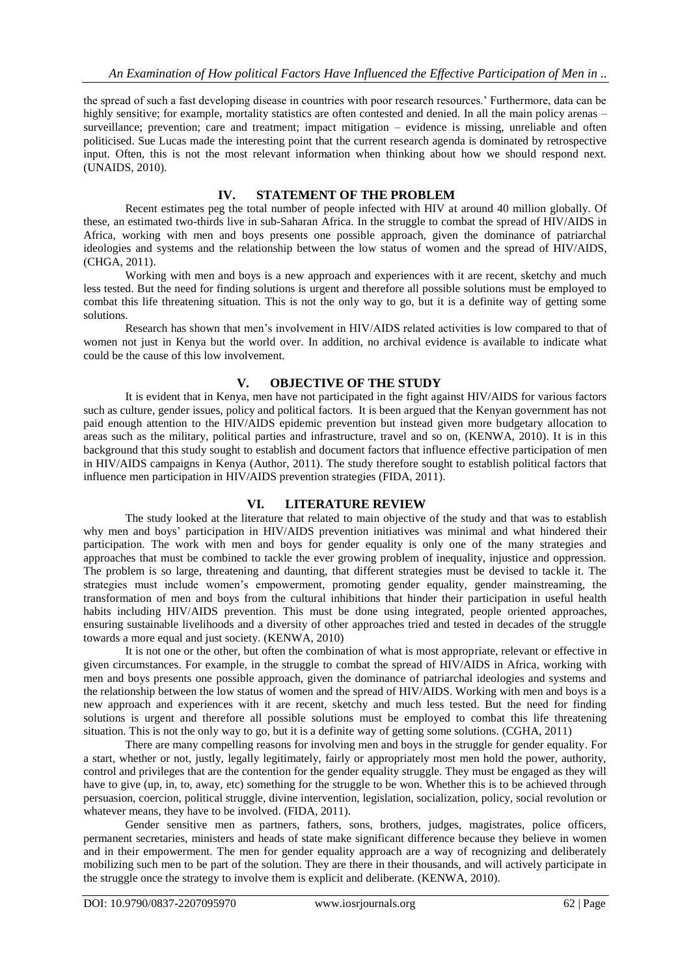the spread of such a fast developing disease in countries with poor research resources.' Furthermore, data can be highly sensitive; for example, mortality statistics are often contested and denied. In all the main policy arenas – surveillance; prevention; care and treatment; impact mitigation – evidence is missing, unreliable and often politicised. Sue Lucas made the interesting point that the current research agenda is dominated by retrospective input. Often, this is not the most relevant information when thinking about how we should respond next. (UNAIDS, 2010).

## **IV. STATEMENT OF THE PROBLEM**

Recent estimates peg the total number of people infected with HIV at around 40 million globally. Of these, an estimated two-thirds live in sub-Saharan Africa. In the struggle to combat the spread of HIV/AIDS in Africa, working with men and boys presents one possible approach, given the dominance of patriarchal ideologies and systems and the relationship between the low status of women and the spread of HIV/AIDS, (CHGA, 2011).

Working with men and boys is a new approach and experiences with it are recent, sketchy and much less tested. But the need for finding solutions is urgent and therefore all possible solutions must be employed to combat this life threatening situation. This is not the only way to go, but it is a definite way of getting some solutions.

Research has shown that men's involvement in HIV/AIDS related activities is low compared to that of women not just in Kenya but the world over. In addition, no archival evidence is available to indicate what could be the cause of this low involvement.

# **V. OBJECTIVE OF THE STUDY**

It is evident that in Kenya, men have not participated in the fight against HIV/AIDS for various factors such as culture, gender issues, policy and political factors. It is been argued that the Kenyan government has not paid enough attention to the HIV/AIDS epidemic prevention but instead given more budgetary allocation to areas such as the military, political parties and infrastructure, travel and so on, (KENWA, 2010). It is in this background that this study sought to establish and document factors that influence effective participation of men in HIV/AIDS campaigns in Kenya (Author, 2011). The study therefore sought to establish political factors that influence men participation in HIV/AIDS prevention strategies (FIDA, 2011).

## **VI. LITERATURE REVIEW**

The study looked at the literature that related to main objective of the study and that was to establish why men and boys' participation in HIV/AIDS prevention initiatives was minimal and what hindered their participation. The work with men and boys for gender equality is only one of the many strategies and approaches that must be combined to tackle the ever growing problem of inequality, injustice and oppression. The problem is so large, threatening and daunting, that different strategies must be devised to tackle it. The strategies must include women's empowerment, promoting gender equality, gender mainstreaming, the transformation of men and boys from the cultural inhibitions that hinder their participation in useful health habits including HIV/AIDS prevention. This must be done using integrated, people oriented approaches, ensuring sustainable livelihoods and a diversity of other approaches tried and tested in decades of the struggle towards a more equal and just society. (KENWA, 2010)

It is not one or the other, but often the combination of what is most appropriate, relevant or effective in given circumstances. For example, in the struggle to combat the spread of HIV/AIDS in Africa, working with men and boys presents one possible approach, given the dominance of patriarchal ideologies and systems and the relationship between the low status of women and the spread of HIV/AIDS. Working with men and boys is a new approach and experiences with it are recent, sketchy and much less tested. But the need for finding solutions is urgent and therefore all possible solutions must be employed to combat this life threatening situation. This is not the only way to go, but it is a definite way of getting some solutions. (CGHA, 2011)

There are many compelling reasons for involving men and boys in the struggle for gender equality. For a start, whether or not, justly, legally legitimately, fairly or appropriately most men hold the power, authority, control and privileges that are the contention for the gender equality struggle. They must be engaged as they will have to give (up, in, to, away, etc) something for the struggle to be won. Whether this is to be achieved through persuasion, coercion, political struggle, divine intervention, legislation, socialization, policy, social revolution or whatever means, they have to be involved. (FIDA, 2011).

Gender sensitive men as partners, fathers, sons, brothers, judges, magistrates, police officers, permanent secretaries, ministers and heads of state make significant difference because they believe in women and in their empowerment. The men for gender equality approach are a way of recognizing and deliberately mobilizing such men to be part of the solution. They are there in their thousands, and will actively participate in the struggle once the strategy to involve them is explicit and deliberate. (KENWA, 2010).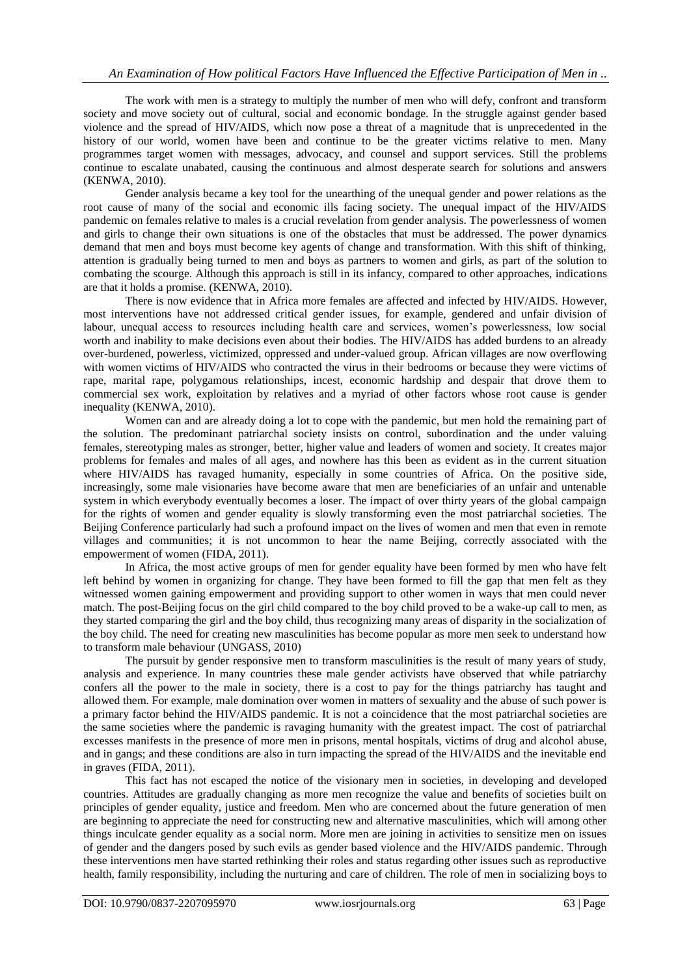The work with men is a strategy to multiply the number of men who will defy, confront and transform society and move society out of cultural, social and economic bondage. In the struggle against gender based violence and the spread of HIV/AIDS, which now pose a threat of a magnitude that is unprecedented in the history of our world, women have been and continue to be the greater victims relative to men. Many programmes target women with messages, advocacy, and counsel and support services. Still the problems continue to escalate unabated, causing the continuous and almost desperate search for solutions and answers (KENWA, 2010).

Gender analysis became a key tool for the unearthing of the unequal gender and power relations as the root cause of many of the social and economic ills facing society. The unequal impact of the HIV/AIDS pandemic on females relative to males is a crucial revelation from gender analysis. The powerlessness of women and girls to change their own situations is one of the obstacles that must be addressed. The power dynamics demand that men and boys must become key agents of change and transformation. With this shift of thinking, attention is gradually being turned to men and boys as partners to women and girls, as part of the solution to combating the scourge. Although this approach is still in its infancy, compared to other approaches, indications are that it holds a promise. (KENWA, 2010).

There is now evidence that in Africa more females are affected and infected by HIV/AIDS. However, most interventions have not addressed critical gender issues, for example, gendered and unfair division of labour, unequal access to resources including health care and services, women's powerlessness, low social worth and inability to make decisions even about their bodies. The HIV/AIDS has added burdens to an already over-burdened, powerless, victimized, oppressed and under-valued group. African villages are now overflowing with women victims of HIV/AIDS who contracted the virus in their bedrooms or because they were victims of rape, marital rape, polygamous relationships, incest, economic hardship and despair that drove them to commercial sex work, exploitation by relatives and a myriad of other factors whose root cause is gender inequality (KENWA, 2010).

Women can and are already doing a lot to cope with the pandemic, but men hold the remaining part of the solution. The predominant patriarchal society insists on control, subordination and the under valuing females, stereotyping males as stronger, better, higher value and leaders of women and society. It creates major problems for females and males of all ages, and nowhere has this been as evident as in the current situation where HIV/AIDS has ravaged humanity, especially in some countries of Africa. On the positive side, increasingly, some male visionaries have become aware that men are beneficiaries of an unfair and untenable system in which everybody eventually becomes a loser. The impact of over thirty years of the global campaign for the rights of women and gender equality is slowly transforming even the most patriarchal societies. The Beijing Conference particularly had such a profound impact on the lives of women and men that even in remote villages and communities; it is not uncommon to hear the name Beijing, correctly associated with the empowerment of women (FIDA, 2011).

In Africa, the most active groups of men for gender equality have been formed by men who have felt left behind by women in organizing for change. They have been formed to fill the gap that men felt as they witnessed women gaining empowerment and providing support to other women in ways that men could never match. The post-Beijing focus on the girl child compared to the boy child proved to be a wake-up call to men, as they started comparing the girl and the boy child, thus recognizing many areas of disparity in the socialization of the boy child. The need for creating new masculinities has become popular as more men seek to understand how to transform male behaviour (UNGASS, 2010)

The pursuit by gender responsive men to transform masculinities is the result of many years of study, analysis and experience. In many countries these male gender activists have observed that while patriarchy confers all the power to the male in society, there is a cost to pay for the things patriarchy has taught and allowed them. For example, male domination over women in matters of sexuality and the abuse of such power is a primary factor behind the HIV/AIDS pandemic. It is not a coincidence that the most patriarchal societies are the same societies where the pandemic is ravaging humanity with the greatest impact. The cost of patriarchal excesses manifests in the presence of more men in prisons, mental hospitals, victims of drug and alcohol abuse, and in gangs; and these conditions are also in turn impacting the spread of the HIV/AIDS and the inevitable end in graves (FIDA, 2011).

This fact has not escaped the notice of the visionary men in societies, in developing and developed countries. Attitudes are gradually changing as more men recognize the value and benefits of societies built on principles of gender equality, justice and freedom. Men who are concerned about the future generation of men are beginning to appreciate the need for constructing new and alternative masculinities, which will among other things inculcate gender equality as a social norm. More men are joining in activities to sensitize men on issues of gender and the dangers posed by such evils as gender based violence and the HIV/AIDS pandemic. Through these interventions men have started rethinking their roles and status regarding other issues such as reproductive health, family responsibility, including the nurturing and care of children. The role of men in socializing boys to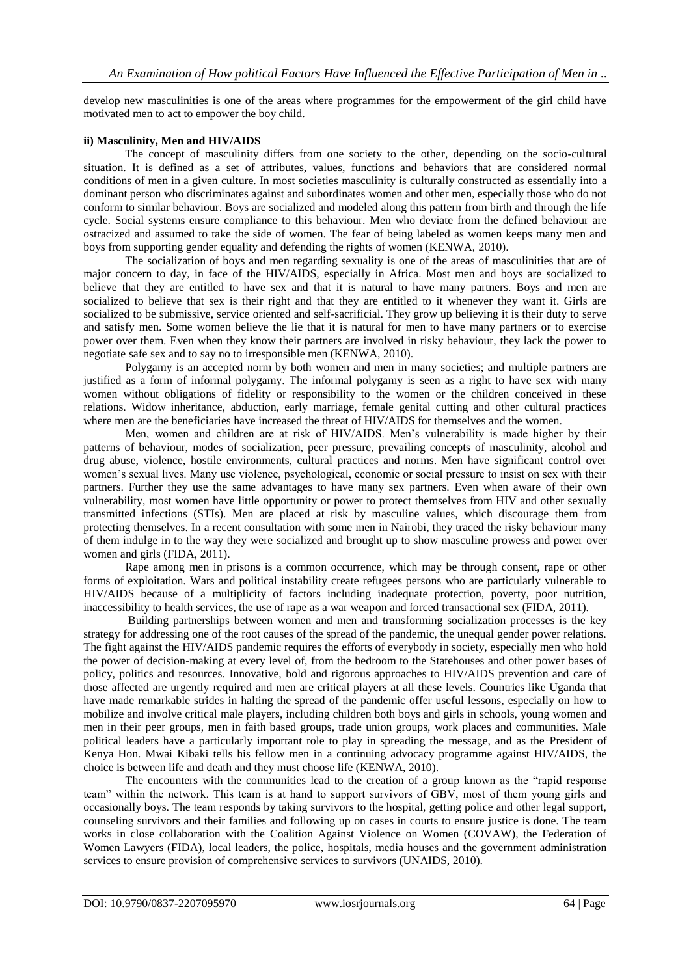develop new masculinities is one of the areas where programmes for the empowerment of the girl child have motivated men to act to empower the boy child.

#### **ii) Masculinity, Men and HIV/AIDS**

The concept of masculinity differs from one society to the other, depending on the socio-cultural situation. It is defined as a set of attributes, values, functions and behaviors that are considered normal conditions of men in a given culture. In most societies masculinity is culturally constructed as essentially into a dominant person who discriminates against and subordinates women and other men, especially those who do not conform to similar behaviour. Boys are socialized and modeled along this pattern from birth and through the life cycle. Social systems ensure compliance to this behaviour. Men who deviate from the defined behaviour are ostracized and assumed to take the side of women. The fear of being labeled as women keeps many men and boys from supporting gender equality and defending the rights of women (KENWA, 2010).

The socialization of boys and men regarding sexuality is one of the areas of masculinities that are of major concern to day, in face of the HIV/AIDS, especially in Africa. Most men and boys are socialized to believe that they are entitled to have sex and that it is natural to have many partners. Boys and men are socialized to believe that sex is their right and that they are entitled to it whenever they want it. Girls are socialized to be submissive, service oriented and self-sacrificial. They grow up believing it is their duty to serve and satisfy men. Some women believe the lie that it is natural for men to have many partners or to exercise power over them. Even when they know their partners are involved in risky behaviour, they lack the power to negotiate safe sex and to say no to irresponsible men (KENWA, 2010).

Polygamy is an accepted norm by both women and men in many societies; and multiple partners are justified as a form of informal polygamy. The informal polygamy is seen as a right to have sex with many women without obligations of fidelity or responsibility to the women or the children conceived in these relations. Widow inheritance, abduction, early marriage, female genital cutting and other cultural practices where men are the beneficiaries have increased the threat of HIV/AIDS for themselves and the women.

Men, women and children are at risk of HIV/AIDS. Men's vulnerability is made higher by their patterns of behaviour, modes of socialization, peer pressure, prevailing concepts of masculinity, alcohol and drug abuse, violence, hostile environments, cultural practices and norms. Men have significant control over women's sexual lives. Many use violence, psychological, economic or social pressure to insist on sex with their partners. Further they use the same advantages to have many sex partners. Even when aware of their own vulnerability, most women have little opportunity or power to protect themselves from HIV and other sexually transmitted infections (STIs). Men are placed at risk by masculine values, which discourage them from protecting themselves. In a recent consultation with some men in Nairobi, they traced the risky behaviour many of them indulge in to the way they were socialized and brought up to show masculine prowess and power over women and girls (FIDA, 2011).

Rape among men in prisons is a common occurrence, which may be through consent, rape or other forms of exploitation. Wars and political instability create refugees persons who are particularly vulnerable to HIV/AIDS because of a multiplicity of factors including inadequate protection, poverty, poor nutrition, inaccessibility to health services, the use of rape as a war weapon and forced transactional sex (FIDA, 2011).

Building partnerships between women and men and transforming socialization processes is the key strategy for addressing one of the root causes of the spread of the pandemic, the unequal gender power relations. The fight against the HIV/AIDS pandemic requires the efforts of everybody in society, especially men who hold the power of decision-making at every level of, from the bedroom to the Statehouses and other power bases of policy, politics and resources. Innovative, bold and rigorous approaches to HIV/AIDS prevention and care of those affected are urgently required and men are critical players at all these levels. Countries like Uganda that have made remarkable strides in halting the spread of the pandemic offer useful lessons, especially on how to mobilize and involve critical male players, including children both boys and girls in schools, young women and men in their peer groups, men in faith based groups, trade union groups, work places and communities. Male political leaders have a particularly important role to play in spreading the message, and as the President of Kenya Hon. Mwai Kibaki tells his fellow men in a continuing advocacy programme against HIV/AIDS, the choice is between life and death and they must choose life (KENWA, 2010).

The encounters with the communities lead to the creation of a group known as the "rapid response team" within the network. This team is at hand to support survivors of GBV, most of them young girls and occasionally boys. The team responds by taking survivors to the hospital, getting police and other legal support, counseling survivors and their families and following up on cases in courts to ensure justice is done. The team works in close collaboration with the Coalition Against Violence on Women (COVAW), the Federation of Women Lawyers (FIDA), local leaders, the police, hospitals, media houses and the government administration services to ensure provision of comprehensive services to survivors (UNAIDS, 2010).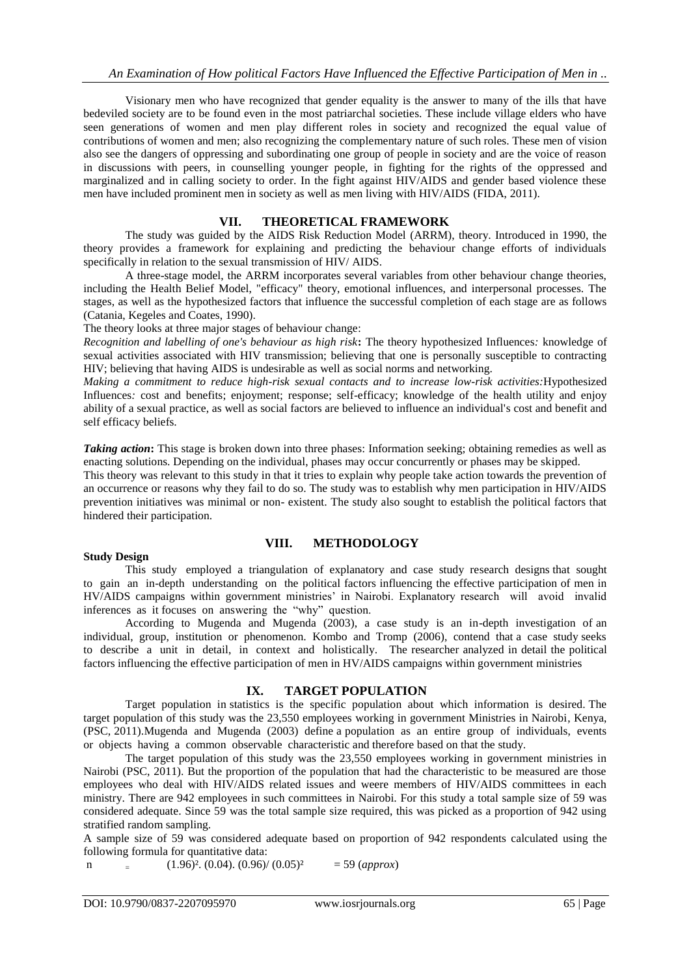Visionary men who have recognized that gender equality is the answer to many of the ills that have bedeviled society are to be found even in the most patriarchal societies. These include village elders who have seen generations of women and men play different roles in society and recognized the equal value of contributions of women and men; also recognizing the complementary nature of such roles. These men of vision also see the dangers of oppressing and subordinating one group of people in society and are the voice of reason in discussions with peers, in counselling younger people, in fighting for the rights of the oppressed and marginalized and in calling society to order. In the fight against HIV/AIDS and gender based violence these men have included prominent men in society as well as men living with HIV/AIDS (FIDA, 2011).

## **VII. THEORETICAL FRAMEWORK**

The study was guided by the AIDS Risk Reduction Model (ARRM), theory. Introduced in 1990, the theory provides a framework for explaining and predicting the behaviour change efforts of individuals specifically in relation to the sexual transmission of HIV/ AIDS.

A three-stage model, the ARRM incorporates several variables from other behaviour change theories, including the Health Belief Model, "efficacy" theory, emotional influences, and interpersonal processes. The stages, as well as the hypothesized factors that influence the successful completion of each stage are as follows (Catania, Kegeles and Coates, 1990).

The theory looks at three major stages of behaviour change:

*Recognition and labelling of one's behaviour as high risk***:** The theory hypothesized Influences*:* knowledge of sexual activities associated with HIV transmission; believing that one is personally susceptible to contracting HIV; believing that having AIDS is undesirable as well as social norms and networking.

*Making a commitment to reduce high-risk sexual contacts and to increase low-risk activities:*Hypothesized Influences*:* cost and benefits; enjoyment; response; self-efficacy; knowledge of the health utility and enjoy ability of a sexual practice, as well as social factors are believed to influence an individual's cost and benefit and self efficacy beliefs.

*Taking action*: This stage is broken down into three phases: Information seeking; obtaining remedies as well as enacting solutions. Depending on the individual, phases may occur concurrently or phases may be skipped.

This theory was relevant to this study in that it tries to explain why people take action towards the prevention of an occurrence or reasons why they fail to do so. The study was to establish why men participation in HIV/AIDS prevention initiatives was minimal or non- existent. The study also sought to establish the political factors that hindered their participation.

#### **Study Design**

## **VIII. METHODOLOGY**

This study employed a triangulation of explanatory and case study research designs that sought to gain an in-depth understanding on the political factors influencing the effective participation of men in HV/AIDS campaigns within government ministries' in Nairobi. Explanatory research will avoid invalid inferences as it focuses on answering the "why" question.

According to Mugenda and Mugenda (2003), a case study is an in-depth investigation of an individual, group, institution or phenomenon. Kombo and Tromp (2006), contend that a case study seeks to describe a unit in detail, in context and holistically. The researcher analyzed in detail the political factors influencing the effective participation of men in HV/AIDS campaigns within government ministries

# **IX. TARGET POPULATION**

Target population in statistics is the specific population about which information is desired. The target population of this study was the 23,550 employees working in government Ministries in Nairobi, Kenya, (PSC, 2011).Mugenda and Mugenda (2003) define a population as an entire group of individuals, events or objects having a common observable characteristic and therefore based on that the study.

The target population of this study was the 23,550 employees working in government ministries in Nairobi (PSC, 2011). But the proportion of the population that had the characteristic to be measured are those employees who deal with HIV/AIDS related issues and weere members of HIV/AIDS committees in each ministry. There are 942 employees in such committees in Nairobi. For this study a total sample size of 59 was considered adequate. Since 59 was the total sample size required, this was picked as a proportion of 942 using stratified random sampling.

A sample size of 59 was considered adequate based on proportion of 942 respondents calculated using the following formula for quantitative data:

n  $(1.96)^2$ . (0.04). (0.96)/ (0.05)<sup>2</sup>  $=$  59 (*approx*)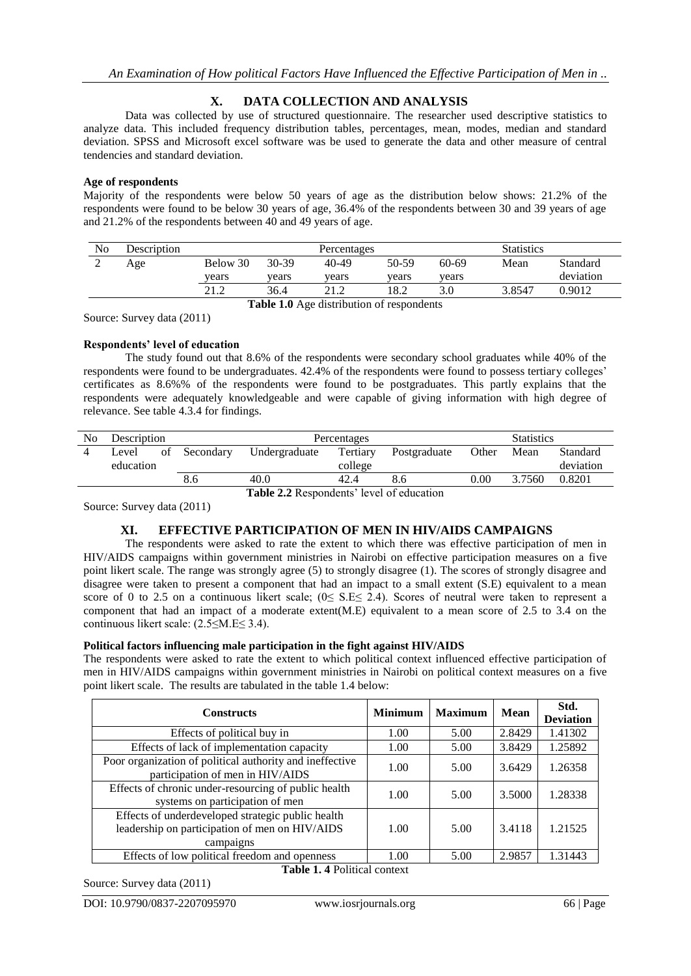# **X. DATA COLLECTION AND ANALYSIS**

Data was collected by use of structured questionnaire. The researcher used descriptive statistics to analyze data. This included frequency distribution tables, percentages, mean, modes, median and standard deviation. SPSS and Microsoft excel software was be used to generate the data and other measure of central tendencies and standard deviation.

#### **Age of respondents**

Majority of the respondents were below 50 years of age as the distribution below shows: 21.2% of the respondents were found to be below 30 years of age, 36.4% of the respondents between 30 and 39 years of age and 21.2% of the respondents between 40 and 49 years of age.

| No | Description |          | Percentages |       |       |           | <b>Statistics</b> |           |
|----|-------------|----------|-------------|-------|-------|-----------|-------------------|-----------|
| ∠  | Age         | Below 30 | 30-39       | 40-49 | 50-59 | $60 - 69$ | Mean              | Standard  |
|    |             | vears    | vears       | vears | vears | vears     |                   | deviation |
|    |             | າ 1 າ    | 36.4        | າ 1 າ | 18.2  | 3.0       | 3.8547            | 0.9012    |

**Table 1.0** Age distribution of respondents

Source: Survey data (2011)

## **Respondents' level of education**

The study found out that 8.6% of the respondents were secondary school graduates while 40% of the respondents were found to be undergraduates. 42.4% of the respondents were found to possess tertiary colleges' certificates as 8.6%% of the respondents were found to be postgraduates. This partly explains that the respondents were adequately knowledgeable and were capable of giving information with high degree of relevance. See table 4.3.4 for findings.

| No | Description        |    |           | Percentages   |                     |              | <b>Statistics</b> |        |                       |
|----|--------------------|----|-----------|---------------|---------------------|--------------|-------------------|--------|-----------------------|
|    | Level<br>education | of | Secondary | Undergraduate | Tertiary<br>college | Postgraduate | Other             | Mean   | Standard<br>deviation |
|    |                    |    | 8.6       | 40.0          | 42.4                | 8.6          | 0.00              | 3.7560 | 0.8201                |

**Table 2.2** Respondents' level of education

Source: Survey data (2011)

## **XI. EFFECTIVE PARTICIPATION OF MEN IN HIV/AIDS CAMPAIGNS**

The respondents were asked to rate the extent to which there was effective participation of men in HIV/AIDS campaigns within government ministries in Nairobi on effective participation measures on a five point likert scale. The range was strongly agree (5) to strongly disagree (1). The scores of strongly disagree and disagree were taken to present a component that had an impact to a small extent (S.E) equivalent to a mean score of 0 to 2.5 on a continuous likert scale;  $(0 \leq S.E \leq 2.4)$ . Scores of neutral were taken to represent a component that had an impact of a moderate extent(M.E) equivalent to a mean score of 2.5 to 3.4 on the continuous likert scale: (2.5≤M.E≤ 3.4).

## **Political factors influencing male participation in the fight against HIV/AIDS**

The respondents were asked to rate the extent to which political context influenced effective participation of men in HIV/AIDS campaigns within government ministries in Nairobi on political context measures on a five point likert scale. The results are tabulated in the table 1.4 below:

| <b>Constructs</b>                                                                                                | <b>Minimum</b> | <b>Maximum</b> | <b>Mean</b> | Std.<br><b>Deviation</b> |  |  |  |
|------------------------------------------------------------------------------------------------------------------|----------------|----------------|-------------|--------------------------|--|--|--|
| Effects of political buy in                                                                                      | 1.00           | 5.00           | 2.8429      | 1.41302                  |  |  |  |
| Effects of lack of implementation capacity                                                                       | 1.00           | 5.00           | 3.8429      | 1.25892                  |  |  |  |
| Poor organization of political authority and ineffective<br>participation of men in HIV/AIDS                     | 1.00           | 5.00           | 3.6429      | 1.26358                  |  |  |  |
| Effects of chronic under-resourcing of public health<br>systems on participation of men                          | 1.00           | 5.00           | 3.5000      | 1.28338                  |  |  |  |
| Effects of underdeveloped strategic public health<br>leadership on participation of men on HIV/AIDS<br>campaigns | 1.00           | 5.00           | 3.4118      | 1.21525                  |  |  |  |
| Effects of low political freedom and openness                                                                    | 1.00           | 5.00           | 2.9857      | 1.31443                  |  |  |  |
| <b>Table 1.4 Political context</b>                                                                               |                |                |             |                          |  |  |  |

Source: Survey data (2011)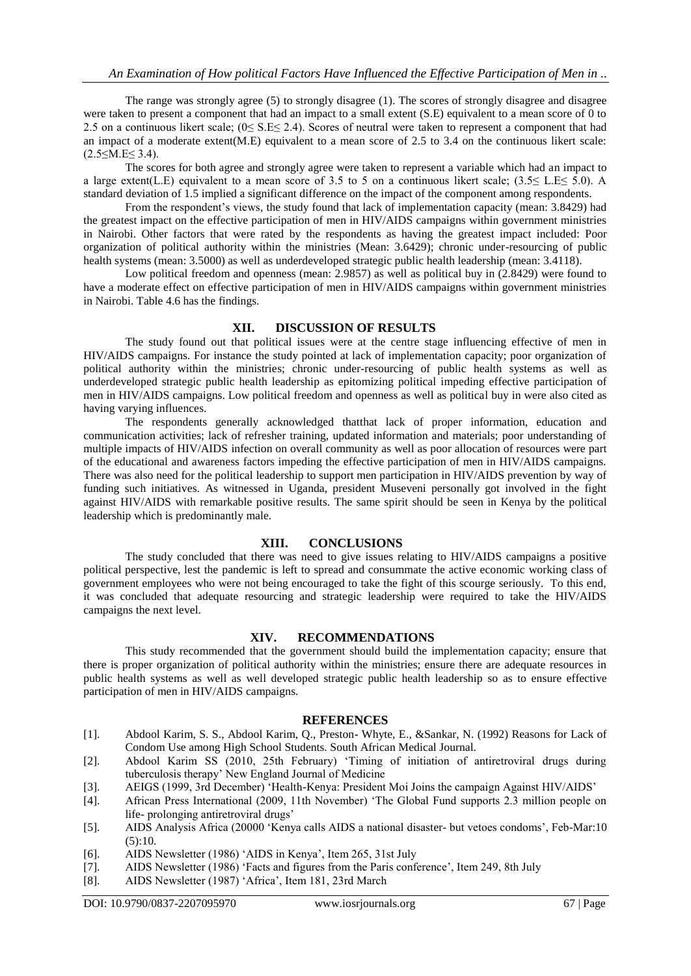The range was strongly agree (5) to strongly disagree (1). The scores of strongly disagree and disagree were taken to present a component that had an impact to a small extent (S.E) equivalent to a mean score of 0 to 2.5 on a continuous likert scale; (0≤ S.E≤ 2.4). Scores of neutral were taken to represent a component that had an impact of a moderate extent(M.E) equivalent to a mean score of 2.5 to 3.4 on the continuous likert scale:  $(2.5 \leq M.E \leq 3.4)$ .

The scores for both agree and strongly agree were taken to represent a variable which had an impact to a large extent(L.E) equivalent to a mean score of 3.5 to 5 on a continuous likert scale; (3.5≤ L.E≤ 5.0). A standard deviation of 1.5 implied a significant difference on the impact of the component among respondents.

From the respondent's views, the study found that lack of implementation capacity (mean: 3.8429) had the greatest impact on the effective participation of men in HIV/AIDS campaigns within government ministries in Nairobi. Other factors that were rated by the respondents as having the greatest impact included: Poor organization of political authority within the ministries (Mean: 3.6429); chronic under-resourcing of public health systems (mean: 3.5000) as well as underdeveloped strategic public health leadership (mean: 3.4118).

Low political freedom and openness (mean: 2.9857) as well as political buy in (2.8429) were found to have a moderate effect on effective participation of men in HIV/AIDS campaigns within government ministries in Nairobi. Table 4.6 has the findings.

## **XII. DISCUSSION OF RESULTS**

The study found out that political issues were at the centre stage influencing effective of men in HIV/AIDS campaigns. For instance the study pointed at lack of implementation capacity; poor organization of political authority within the ministries; chronic under-resourcing of public health systems as well as underdeveloped strategic public health leadership as epitomizing political impeding effective participation of men in HIV/AIDS campaigns. Low political freedom and openness as well as political buy in were also cited as having varying influences.

The respondents generally acknowledged thatthat lack of proper information, education and communication activities; lack of refresher training, updated information and materials; poor understanding of multiple impacts of HIV/AIDS infection on overall community as well as poor allocation of resources were part of the educational and awareness factors impeding the effective participation of men in HIV/AIDS campaigns. There was also need for the political leadership to support men participation in HIV/AIDS prevention by way of funding such initiatives. As witnessed in Uganda, president Museveni personally got involved in the fight against HIV/AIDS with remarkable positive results. The same spirit should be seen in Kenya by the political leadership which is predominantly male.

## **XIII. CONCLUSIONS**

The study concluded that there was need to give issues relating to HIV/AIDS campaigns a positive political perspective, lest the pandemic is left to spread and consummate the active economic working class of government employees who were not being encouraged to take the fight of this scourge seriously. To this end, it was concluded that adequate resourcing and strategic leadership were required to take the HIV/AIDS campaigns the next level.

## **XIV. RECOMMENDATIONS**

This study recommended that the government should build the implementation capacity; ensure that there is proper organization of political authority within the ministries; ensure there are adequate resources in public health systems as well as well developed strategic public health leadership so as to ensure effective participation of men in HIV/AIDS campaigns.

#### **REFERENCES**

- [1]. Abdool Karim, S. S., Abdool Karim, Q., Preston- Whyte, E., &Sankar, N. (1992) Reasons for Lack of Condom Use among High School Students. South African Medical Journal.
- [2]. Abdool Karim SS (2010, 25th February) 'Timing of initiation of antiretroviral drugs during tuberculosis therapy' New England Journal of Medicine
- [3]. AEIGS (1999, 3rd December) 'Health-Kenya: President Moi Joins the campaign Against HIV/AIDS'
- [4]. African Press International (2009, 11th November) 'The Global Fund supports 2.3 million people on life- prolonging antiretroviral drugs'
- [5]. AIDS Analysis Africa (20000 'Kenya calls AIDS a national disaster- but vetoes condoms', Feb-Mar:10  $(5):10.$
- [6]. AIDS Newsletter (1986) 'AIDS in Kenya', Item 265, 31st July
- [7]. AIDS Newsletter (1986) 'Facts and figures from the Paris conference', Item 249, 8th July
- [8]. AIDS Newsletter (1987) 'Africa', Item 181, 23rd March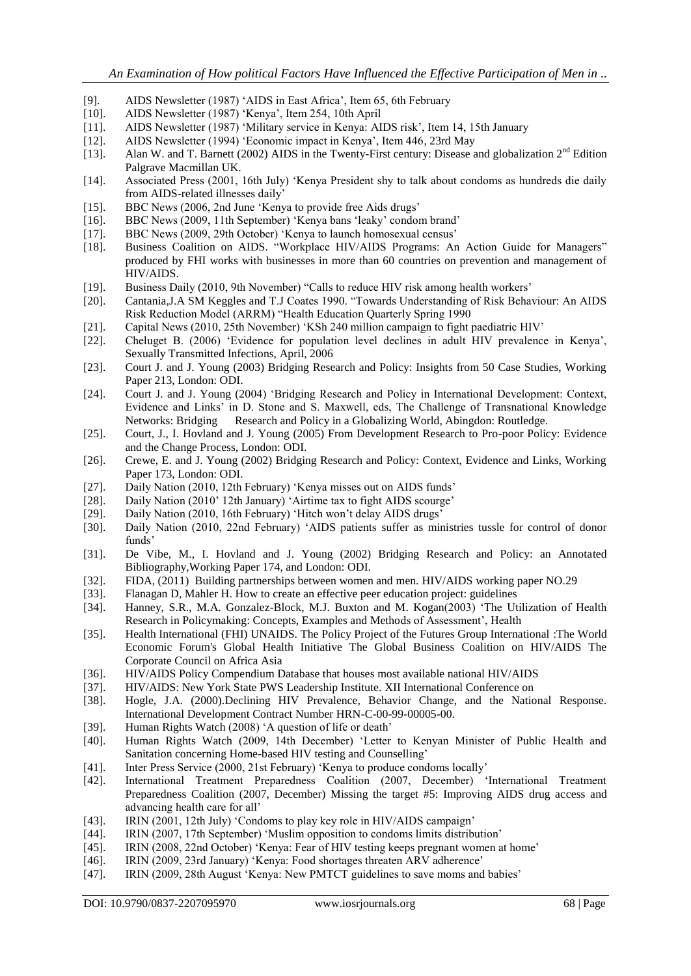- [9]. AIDS Newsletter (1987) 'AIDS in East Africa', Item 65, 6th February
- [10]. AIDS Newsletter (1987) 'Kenya', Item 254, 10th April
- [11]. AIDS Newsletter (1987) 'Military service in Kenya: AIDS risk', Item 14, 15th January
- [12]. AIDS Newsletter (1994) 'Economic impact in Kenya', Item 446, 23rd May
- [13]. Alan W. and T. Barnett (2002) AIDS in the Twenty-First century: Disease and globalization 2nd Edition Palgrave Macmillan UK.
- [14]. Associated Press (2001, 16th July) 'Kenya President shy to talk about condoms as hundreds die daily from AIDS-related illnesses daily'
- [15]. BBC News (2006, 2nd June 'Kenya to provide free Aids drugs'
- [16]. BBC News (2009, 11th September) 'Kenya bans 'leaky' condom brand'
- [17]. BBC News (2009, 29th October) 'Kenya to launch homosexual census'
- [18]. Business Coalition on AIDS. "Workplace HIV/AIDS Programs: An Action Guide for Managers" produced by FHI works with businesses in more than 60 countries on prevention and management of HIV/AIDS.
- [19]. Business Daily (2010, 9th November) "Calls to reduce HIV risk among health workers'
- [20]. Cantania,J.A SM Keggles and T.J Coates 1990. "Towards Understanding of Risk Behaviour: An AIDS Risk Reduction Model (ARRM) "Health Education Quarterly Spring 1990
- [21]. Capital News (2010, 25th November) 'KSh 240 million campaign to fight paediatric HIV'
- [22]. Cheluget B. (2006) 'Evidence for population level declines in adult HIV prevalence in Kenya', Sexually Transmitted Infections, April, 2006
- [23]. Court J. and J. Young (2003) Bridging Research and Policy: Insights from 50 Case Studies, Working Paper 213, London: ODI.
- [24]. Court J. and J. Young (2004) 'Bridging Research and Policy in International Development: Context, Evidence and Links' in D. Stone and S. Maxwell, eds, The Challenge of Transnational Knowledge Networks: Bridging Research and Policy in a Globalizing World, Abingdon: Routledge.
- [25]. Court, J., I. Hovland and J. Young (2005) From Development Research to Pro-poor Policy: Evidence and the Change Process, London: ODI.
- [26]. Crewe, E. and J. Young (2002) Bridging Research and Policy: Context, Evidence and Links, Working Paper 173, London: ODI.
- [27]. Daily Nation (2010, 12th February) 'Kenya misses out on AIDS funds'
- [28]. Daily Nation (2010' 12th January) 'Airtime tax to fight AIDS scourge'
- [29]. Daily Nation (2010, 16th February) 'Hitch won't delay AIDS drugs'
- [30]. Daily Nation (2010, 22nd February) 'AIDS patients suffer as ministries tussle for control of donor funds'
- [31]. De Vibe, M., I. Hovland and J. Young (2002) Bridging Research and Policy: an Annotated Bibliography,Working Paper 174, and London: ODI.
- [32]. FIDA, (2011) Building partnerships between women and men. HIV/AIDS working paper NO.29
- [33]. Flanagan D, Mahler H. How to create an effective peer education project: guidelines
- [34]. Hanney, S.R., M.A. Gonzalez-Block, M.J. Buxton and M. Kogan(2003) 'The Utilization of Health Research in Policymaking: Concepts, Examples and Methods of Assessment', Health
- [35]. Health International (FHI) UNAIDS. The Policy Project of the Futures Group International :The World Economic Forum's Global Health Initiative The Global Business Coalition on HIV/AIDS The Corporate Council on Africa Asia
- [36]. HIV/AIDS Policy Compendium Database that houses most available national HIV/AIDS
- [37]. HIV/AIDS: New York State PWS Leadership Institute. XII International Conference on
- [38]. Hogle, J.A. (2000).Declining HIV Prevalence, Behavior Change, and the National Response. International Development Contract Number HRN-C-00-99-00005-00.
- [39]. Human Rights Watch (2008) 'A question of life or death'
- [40]. Human Rights Watch (2009, 14th December) 'Letter to Kenyan Minister of Public Health and Sanitation concerning Home-based HIV testing and Counselling'
- [41]. Inter Press Service (2000, 21st February) 'Kenya to produce condoms locally'
- [42]. International Treatment Preparedness Coalition (2007, December) 'International Treatment Preparedness Coalition (2007, December) Missing the target #5: Improving AIDS drug access and advancing health care for all'
- [43]. IRIN (2001, 12th July) 'Condoms to play key role in HIV/AIDS campaign'
- [44]. IRIN (2007, 17th September) 'Muslim opposition to condoms limits distribution'
- [45]. IRIN (2008, 22nd October) 'Kenya: Fear of HIV testing keeps pregnant women at home'
- [46]. IRIN (2009, 23rd January) 'Kenya: Food shortages threaten ARV adherence'
- [47]. IRIN (2009, 28th August 'Kenya: New PMTCT guidelines to save moms and babies'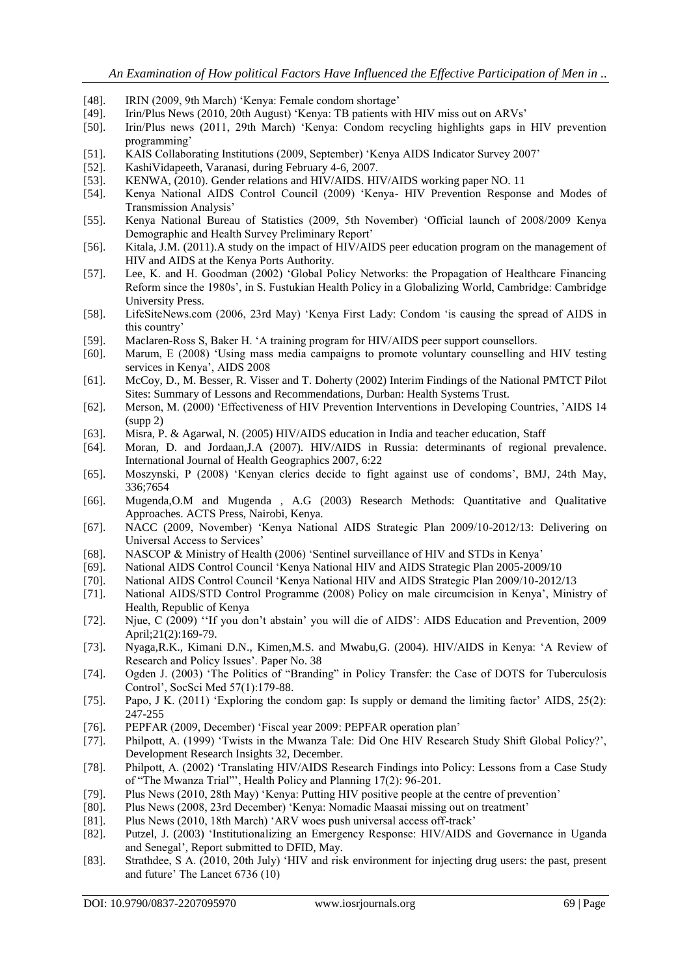- [48]. IRIN (2009, 9th March) 'Kenya: Female condom shortage'
- [49]. Irin/Plus News (2010, 20th August) 'Kenya: TB patients with HIV miss out on ARVs'
- [50]. Irin/Plus news (2011, 29th March) 'Kenya: Condom recycling highlights gaps in HIV prevention programming'
- [51]. KAIS Collaborating Institutions (2009, September) 'Kenya AIDS Indicator Survey 2007'
- [52]. KashiVidapeeth, Varanasi, during February 4-6, 2007.
- [53]. KENWA, (2010). Gender relations and HIV/AIDS. HIV/AIDS working paper NO. 11
- [54]. Kenya National AIDS Control Council (2009) 'Kenya- HIV Prevention Response and Modes of Transmission Analysis'
- [55]. Kenya National Bureau of Statistics (2009, 5th November) 'Official launch of 2008/2009 Kenya Demographic and Health Survey Preliminary Report'
- [56]. Kitala, J.M. (2011).A study on the impact of HIV/AIDS peer education program on the management of HIV and AIDS at the Kenya Ports Authority.
- [57]. Lee, K. and H. Goodman (2002) 'Global Policy Networks: the Propagation of Healthcare Financing Reform since the 1980s', in S. Fustukian Health Policy in a Globalizing World, Cambridge: Cambridge University Press.
- [58]. LifeSiteNews.com (2006, 23rd May) 'Kenya First Lady: Condom 'is causing the spread of AIDS in this country'
- [59]. Maclaren-Ross S, Baker H. 'A training program for HIV/AIDS peer support counsellors.
- [60]. Marum, E (2008) 'Using mass media campaigns to promote voluntary counselling and HIV testing services in Kenya', AIDS 2008
- [61]. McCoy, D., M. Besser, R. Visser and T. Doherty (2002) Interim Findings of the National PMTCT Pilot Sites: Summary of Lessons and Recommendations, Durban: Health Systems Trust.
- [62]. Merson, M. (2000) 'Effectiveness of HIV Prevention Interventions in Developing Countries, 'AIDS 14 (supp 2)
- [63]. Misra, P. & Agarwal, N. (2005) HIV/AIDS education in India and teacher education, Staff
- [64]. Moran, D. and Jordaan,J.A (2007). HIV/AIDS in Russia: determinants of regional prevalence. International Journal of Health Geographics 2007, 6:22
- [65]. Moszynski, P (2008) 'Kenyan clerics decide to fight against use of condoms', BMJ, 24th May, 336;7654
- [66]. Mugenda,O.M and Mugenda , A.G (2003) Research Methods: Quantitative and Qualitative Approaches. ACTS Press, Nairobi, Kenya.
- [67]. NACC (2009, November) 'Kenya National AIDS Strategic Plan 2009/10-2012/13: Delivering on Universal Access to Services'
- [68]. NASCOP & Ministry of Health (2006) 'Sentinel surveillance of HIV and STDs in Kenya'
- [69]. National AIDS Control Council 'Kenya National HIV and AIDS Strategic Plan 2005-2009/10
- [70]. National AIDS Control Council 'Kenya National HIV and AIDS Strategic Plan 2009/10-2012/13
- [71]. National AIDS/STD Control Programme (2008) Policy on male circumcision in Kenya', Ministry of Health, Republic of Kenya
- [72]. Njue, C (2009) ''If you don't abstain' you will die of AIDS': AIDS Education and Prevention, 2009 April;21(2):169-79.
- [73]. Nyaga,R.K., Kimani D.N., Kimen,M.S. and Mwabu,G. (2004). HIV/AIDS in Kenya: 'A Review of Research and Policy Issues'. Paper No. 38
- [74]. Ogden J. (2003) 'The Politics of "Branding" in Policy Transfer: the Case of DOTS for Tuberculosis Control', SocSci Med 57(1):179-88.
- [75]. Papo, J K. (2011) 'Exploring the condom gap: Is supply or demand the limiting factor' AIDS, 25(2): 247-255
- [76]. PEPFAR (2009, December) 'Fiscal year 2009: PEPFAR operation plan'
- [77]. Philpott, A. (1999) 'Twists in the Mwanza Tale: Did One HIV Research Study Shift Global Policy?', Development Research Insights 32, December.
- [78]. Philpott, A. (2002) 'Translating HIV/AIDS Research Findings into Policy: Lessons from a Case Study of "The Mwanza Trial"', Health Policy and Planning 17(2): 96-201.
- [79]. Plus News (2010, 28th May) 'Kenya: Putting HIV positive people at the centre of prevention'
- [80]. Plus News (2008, 23rd December) 'Kenya: Nomadic Maasai missing out on treatment'
- [81]. Plus News (2010, 18th March) 'ARV woes push universal access off-track'
- [82]. Putzel, J. (2003) 'Institutionalizing an Emergency Response: HIV/AIDS and Governance in Uganda and Senegal', Report submitted to DFID, May.
- [83]. Strathdee, S A. (2010, 20th July) 'HIV and risk environment for injecting drug users: the past, present and future' The Lancet 6736 (10)